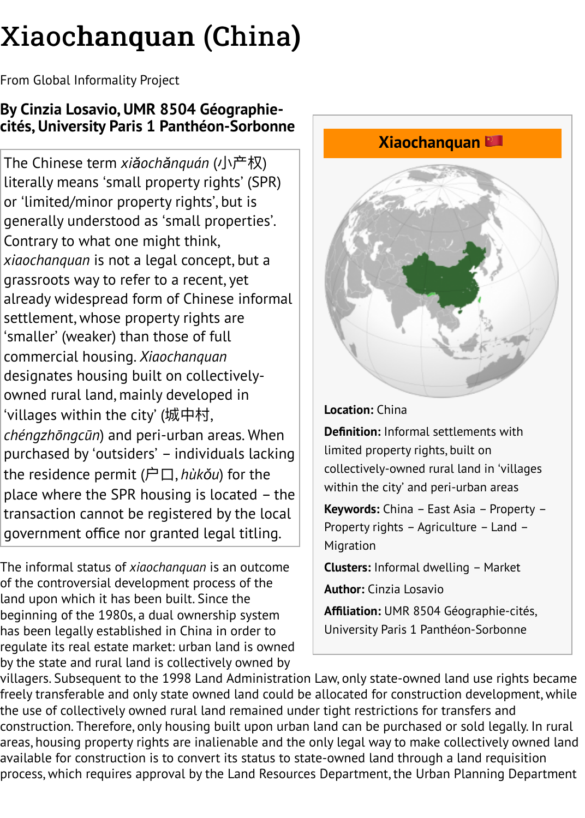The Chinese term *xiǎochǎnquán* (⼩产权) literally means ʻsmall property rights' (SPR) or ʻlimited/minor property rights', but is generally understood as ʻsmall properties'. Contrary to what one might think, *xiaochanquan* is not a legal concept, but a grassroots way to refer to a recent, yet already widespread form of Chinese informal settlement, whose property right[s are](http://www.in-formality.com/wiki/index.php?title=%E5%B0%8F%E4%BA%A7%E6%9D%83) ʻsmaller' (weaker) than those of full commercial housing. *Xiaochanquan* designates housing built on collectivelyowned rural land, mainly developed in ʻvillages within the city' (城中村, *chéngzhōngcūn*) and peri-urban areas. When purchased by ʻoutsiders' – individuals lacking the residence permit (户⼝, *hùkǒu*) for the place where the SPR housing is located – the transaction cannot be registered by the local government office nor granted legal titling.

The informal status of *xiaochanquan* is an outcome of the controversial development process of the land upon which it has been built. Since the beginning of the 1980s, a dual ownership system has been legally established in China in order to regulate its real estate market: urban land is owned by the state and rural land is collectively owned by



**Location:** China

**Definition:** Informal settlements wi limited property rights, built on collectively-owned rural land in 'vil within the city' and peri-urban area

**Keywords:** China – East Asia – Prop Property rights – Agriculture – Land Migration

**Clusters:** Informal dwelling - Marke

**Author:** Cinzia Losavio

Affiliation: UMR 8504 Géographie-d University Paris 1 Panthéon-Sorbon

villagers. Subsequent to the 1998 Land Administration L[aw, only state-o](http://www.in-formality.com/wiki/index.php?title=Category:Property_rights&action=edit&redlink=1)[wned land u](http://www.in-formality.com/wiki/index.php?title=Category:Agriculture)se rig freely transferable and only state owned land could be a[llocated fo](http://www.in-formality.com/wiki/index.php?title=Category:Migration)r construction developi the use of collectively owned rural land remained under tight restrictions for transfers and construction. Therefore, only housing built upon urban land can b[e purchased or so](http://www.in-formality.com/wiki/index.php?title=Category:Informal_dwelling)ld lega areas, housing property rights are inalienable and the only legal way to make collectively available for construction is to convert its status to state-owned land through a land requi process, which requires approval by the Land Resources Department, the Urban Planning I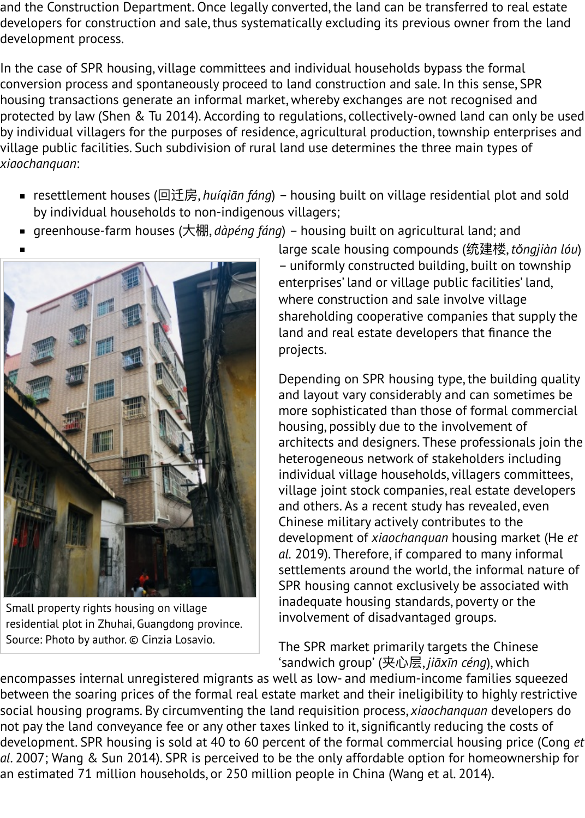## village public facilities. Such subdivision of rural land use determines the three main types of *xiaochanquan*:

- resettlement houses (回迁房, *huíqiān fáng*) housing built on village residential plo by individual households to non-indigenous villagers;
- greenhouse-farm houses (大棚, *dàpéng fáng*) housing built on agricultural land; an



Small property rights housing on village residential plot in Zhuhai, Guangdong province. Source: Photo by author. © Cinzia Losavio.

large scale housing compounds (统建楼, – uniformly constructed building, built or enterprises' land or village public facilities where construction and sale involve village shareholding cooperative companies that land and real estate developers that finan projects.

Depending on SPR housing type, the buil and layout vary considerably and can son more sophisticated than those of formal housing, possibly due to the involvement architects and designers. These professio heterogeneous network of stakeholders in individual village households, villagers co village joint stock companies, real estate and others. As a recent study has revealed Chinese military actively contributes to th development of *xiaochanquan* housing m *al.* 2019). Therefore, if compared to many settlements around the world, the inform SPR housing cannot exclusively be assoc inadequate housing standards, poverty or involvement of disadvantaged groups.

The SPR market primarily targets the Ching ʻsandwich group' (夹⼼层, *jiāxīn céng*), which

encompasses internal unregistered migrants as well as low- and medium-income families between the soaring prices of the formal real estate market and their ineligibility to highly [social housing programs. By circumventing th](http://www.in-formality.com/wiki/index.php?title=File:Xiaochangquan_Losavio.JPG)e land requisition process, *xiaochanquan* deve not pay the land conveyance fee or any other taxes linked to it, significantly reducing the o development. SPR housing is sold at 40 to 60 percent of the formal commercial housing p al. 2007; Wang & Sun 2014). SPR is perceived to be the only affordable option for homeov an estimated 71 million households, or 250 million people in China (Wang et al. 2014).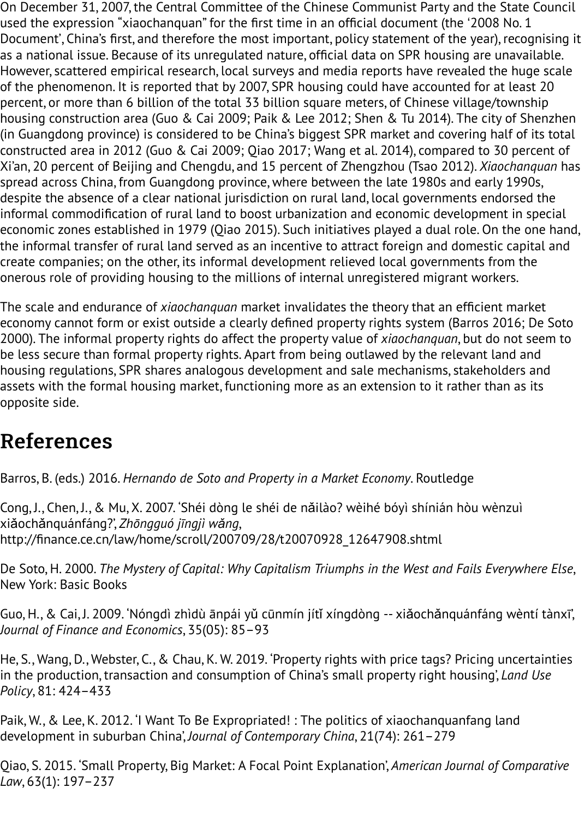construction are a in 2012 (Guo  $\alpha$  2012),  $\alpha$  and  $\alpha$  percent of  $\alpha$  percent of  $\alpha$ Xi'an, 20 percent of Beijing and Chengdu, and 15 percent of Zhengzhou (Tsao 2012). *Xiaocl* spread across China, from Guangdong province, where between the late 1980s and early 1 despite the absence of a clear national jurisdiction on rural land, local governments endor informal commodification of rural land to boost urbanization and economic development economic zones established in 1979 (Qiao 2015). Such initiatives played a dual role. On th the informal transfer of rural land served as an incentive to attract foreign and domestic c create companies; on the other, its informal development relieved local governments from onerous role of providing housing to the millions of internal unregistered migrant workers

The scale and endurance of *xiaochanquan* market invalidates the theory that an efficient n economy cannot form or exist outside a clearly defined property rights system (Barros 201 2000). The informal property rights do affect the property value of *xiaochanguan*, but do no be less secure than formal property rights. Apart from being outlawed by the relevant land housing regulations, SPR shares analogous development and sale mechanisms, stakeholde assets with the formal housing market, functioning more as an extension to it rather than opposite side.

## References

Barros, B. (eds.) 2016. *Hernando de Soto and Property in a Market Economy*. Routledge

Cong, J., Chen, J., & Mu, X. 2007. 'Shéi dòng le shéi de năilào? wèihé bóyì shínián hòu wènz xiǎochǎnquánfáng?', *Zhōngguó jīngjì wǎng*, http://finance.ce.cn/law/home/scroll/200709/28/t20070928\_12647908.shtml

De Soto, H. 2000. *The Mystery of Capital: Why Capitalism Triumphs in the West and Fails Every* New York: Basic Books

Guo, H., & Cai, J. 2009. 'Nóngdì zhìdù ānpái yǔ cūnmín jítǐ xíngdòng -- xiǎochǎnquánfáng v *Journal of Finance and Economics*, 35(05): 85–93

He, S., Wang, D., Webster, C., & Chau, K. W. 2019. 'Property rights with price tags? Pricing un in the production, transaction and consumption of China's small property right housing', *La Policy*[, 81: 424–433](http://finance.ce.cn/law/home/scroll/200709/28/t20070928_12647908.shtml)

Paik, W., & Lee, K. 2012. 'I Want To Be Expropriated! : The politics of xiaochanquanfang lan development in suburban China', *Journal of Contemporary China*, 21(74): 261–279

Qiao, S. 2015. 'Small Property, Big Market: A Focal Point Explanation', *American Journal of Co Law*, 63(1): 197–237